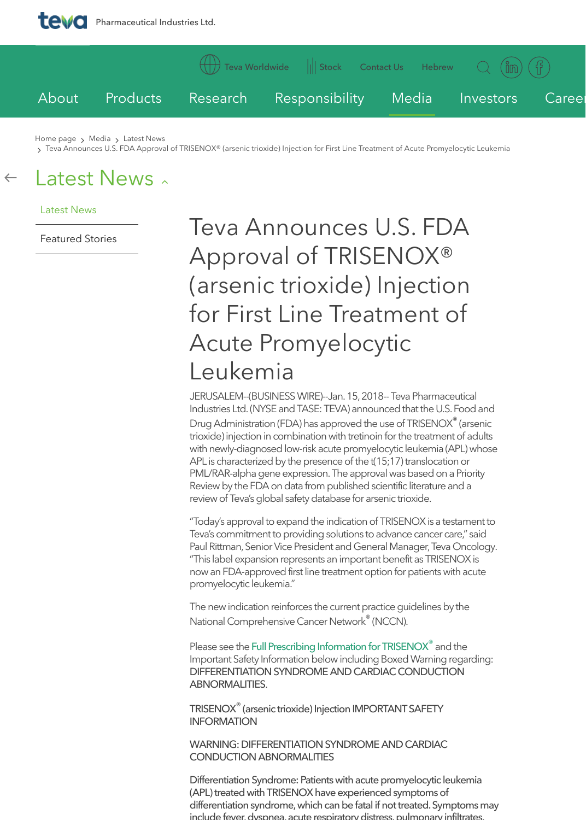JERUSALEM--(BUSINESS WIRE)--J Industries Ltd. (NYSE and TASE: TE

Drug Administration (FDA) has approved the use of TPIA trioxide) injection in combination v w[ith newly-diagnosed lo](http://www.tevapharm.com/teva_worldwide/americas/)w-risk acute APL is characterized by the presen [PML/RAR-alph](http://www.tevapharm.com/research_development/)a gene expression. Review by the FDA on data from p review of Teva's global safety datak

"Today's approval to expand the ir Teva's commitment to providing so Paul Rittman, Senior Vice President "This label expansion represents a now an FDA-approved first line tre promyelocytic leukemia."

The new indication reinforces the c National Comprehensive Cancer N

Please see the Full Prescribing Information for Important Safety Information below DIFFERENTIATION SYNDROME A ABNORMALITIES.

TRISENOX<sup>®</sup> (arsenic trioxide) Inject **INFORMATION** 

WARNING: DIFFERENTIATION SY CONDUCTION ABNORMALITIES

Differentiation Syndrome: Patients (APL) treated with TRISENOX have differentiation syndrome, which ca include fever, dyspnea, acute respi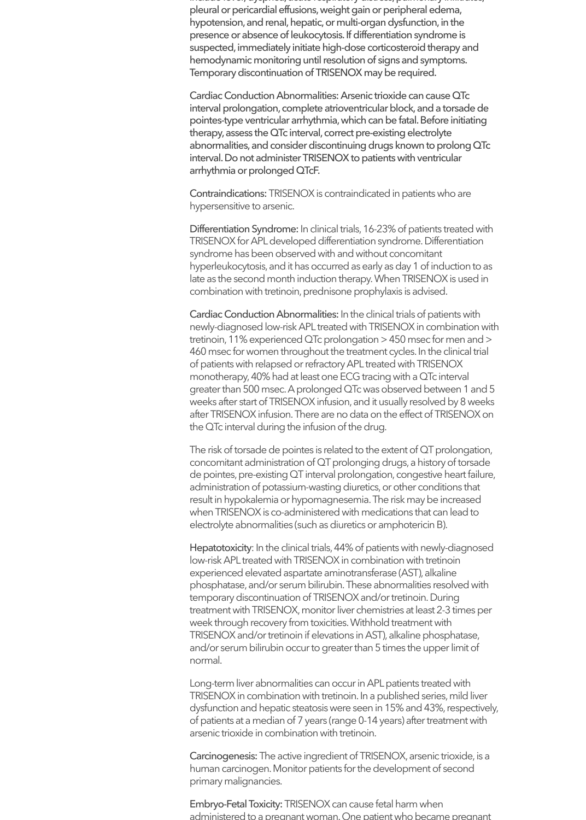include fever, dyspnea, acute respiratory distress, pulmonary infiltrates, pleural or pericardial effusions, weight gain or peripheral edema, hypotension, and renal, hepatic, or multi-organ dysfunction, in the presence or absence of leukocytosis. If differentiation syndrome is suspected, immediately initiate high-dose corticosteroid therapy and hemodynamic monitoring until resolution of signs and symptoms. Temporary discontinuation of TRISENOX may be required.

Cardiac Conduction Abnormalities: Arsenic trioxide can cause QTc interval prolongation, complete atrioventricular block, and a torsade de pointes-type ventricular arrhythmia, which can be fatal. Before initiating therapy, assess the QTc interval, correct pre-existing electrolyte abnormalities, and consider discontinuing drugs known to prolong QTc interval. Do not administer TRISENOX to patients with ventricular arrhythmia or prolonged QTcF.

Contraindications: TRISENOX is contraindicated in patients who are hypersensitive to arsenic.

Differentiation Syndrome: In clinical trials, 16-23% of patients treated with TRISENOX for APL developed differentiation syndrome. Differentiation syndrome has been observed with and without concomitant hyperleukocytosis, and it has occurred as early as day 1 of induction to as late as the second month induction therapy. When TRISENOX is used in combination with tretinoin, prednisone prophylaxis is advised.

Cardiac Conduction Abnormalities: In the clinical trials of patients with newly-diagnosed low-risk APL treated with TRISENOX in combination with tretinoin, 11% experienced QTc prolongation > 450 msec for men and > 460 msec for women throughout the treatment cycles. In the clinical trial of patients with relapsed or refractory APL treated with TRISENOX monotherapy, 40% had at least one ECG tracing with a QTc interval greater than 500 msec. A prolonged QTc was observed between 1 and 5 weeks after start of TRISENOX infusion, and it usually resolved by 8 weeks after TRISENOX infusion. There are no data on the effect of TRISENOX on the QTc interval during the infusion of the drug.

The risk of torsade de pointes is related to the extent of QT prolongation, concomitant administration of QT prolonging drugs, a history of torsade de pointes, pre-existing QT interval prolongation, congestive heart failure, administration of potassium-wasting diuretics, or other conditions that result in hypokalemia or hypomagnesemia. The risk may be increased when TRISENOX is co-administered with medications that can lead to electrolyte abnormalities (such as diuretics or amphotericin B).

Hepatotoxicity: In the clinical trials, 44% of patients with newly-diagnosed low-risk APL treated with TRISENOX in combination with tretinoin experienced elevated aspartate aminotransferase (AST), alkaline phosphatase, and/or serum bilirubin. These abnormalities resolved with temporary discontinuation of TRISENOX and/or tretinoin. During treatment with TRISENOX, monitor liver chemistries at least 2-3 times per week through recovery from toxicities. Withhold treatment with TRISENOX and/or tretinoin if elevations in AST), alkaline phosphatase, and/or serum bilirubin occur to greater than 5 times the upper limit of normal.

Long-term liver abnormalities can occur in APL patients treated with TRISENOX in combination with tretinoin. In a published series, mild liver dysfunction and hepatic steatosis were seen in 15% and 43%, respectively, of patients at a median of 7 years (range 0-14 years) after treatment with arsenic trioxide in combination with tretinoin.

Carcinogenesis: The active ingredient of TRISENOX, arsenic trioxide, is a human carcinogen. Monitor patients for the development of second primary malignancies.

Embryo-Fetal Toxicity: TRISENOX can cause fetal harm when administered to a pregnant woman. One patient who became pregnant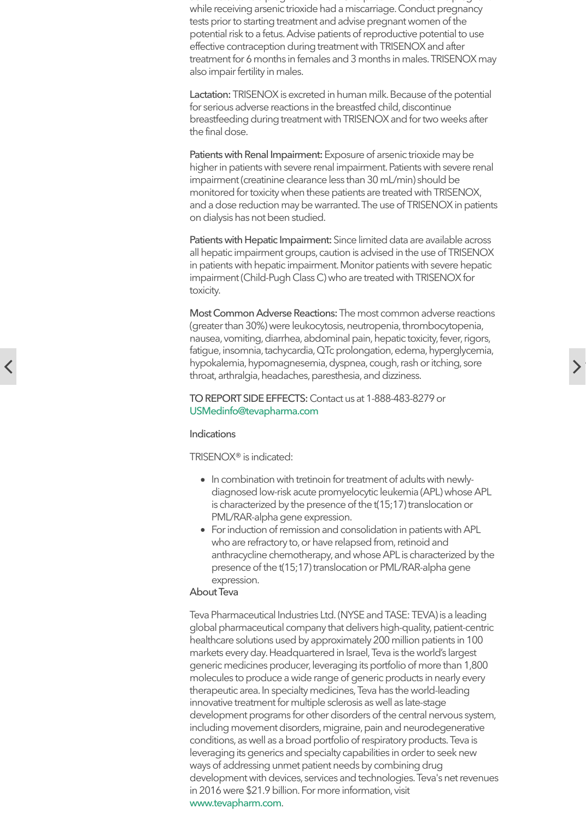## TO REPORT SIDE EFFECTS: Conta USMedinfo@tevapharma.com

## **Indications**

TRISENOX® is indicated:

- In combination with tretinoin  $\bullet$ diagnosed low-risk acute pro is characterized by the preser PML/RAR-alpha gene expres
- For induction of remission an who are refractory to, or have anthracycline chemotherapy, presence of the  $t(15;17)$  trans expression.

## About Teva

Teva Pharmaceutical Industries Ltd. global pharmaceutical company that healthcare solutions used by approximately markets every day. Headquartered generic medicines producer, lever molecules to produce a wide rang therapeutic area. In specialty mediinnovative treatment for multiple se development programs for other of including movement disorders, mi conditions, as well as a broad port leveraging its generics and special ways of addressing unmet patient development with devices, service in 2016 were \$21.9 billion. For more [www.tevapharm.com](mailto:USMedinfo@tevapharma.com).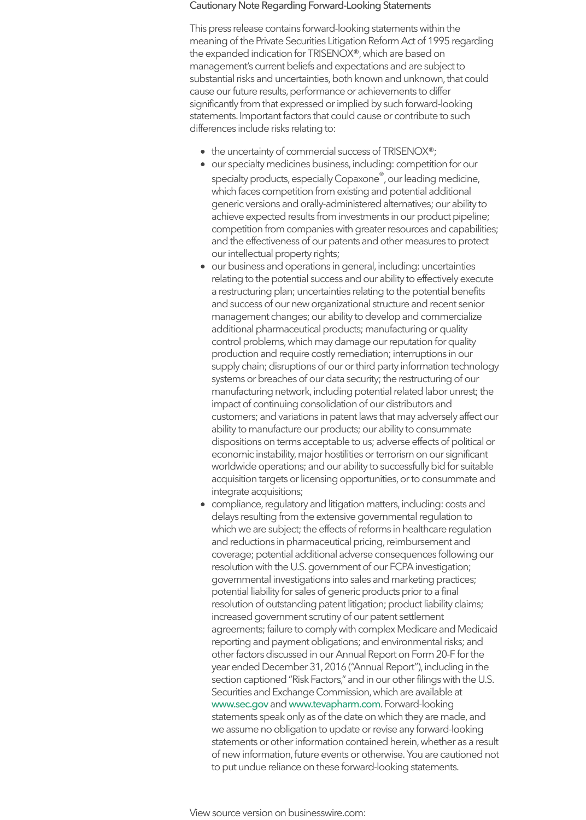manufacturing network, inclu impact of continuing consolid customers; and variations in patent our ability to manufacture our pro dispositions on terms accepta economic instability, major ho worldwide operations; and o acquisition targets or licensing integrate acquisitions;

• compliance, regulatory and lit delays resulting from the exte which we are subject; the effect and reductions in pharmaceutical coverage; potential additional resolution with the U.S. gover governmental investigations potential liability for sales of g resolution of outstanding pat increased government scrutin agreements; failure to compl reporting and payment oblig other factors discussed in our year ended December 31, 20 section captioned "Risk Facto Securities and Exchange Cor www.sec.gov and www.teva statements speak only as of the we assume no obligation to up statements or other informati of new information, future eve to put undue reliance on these